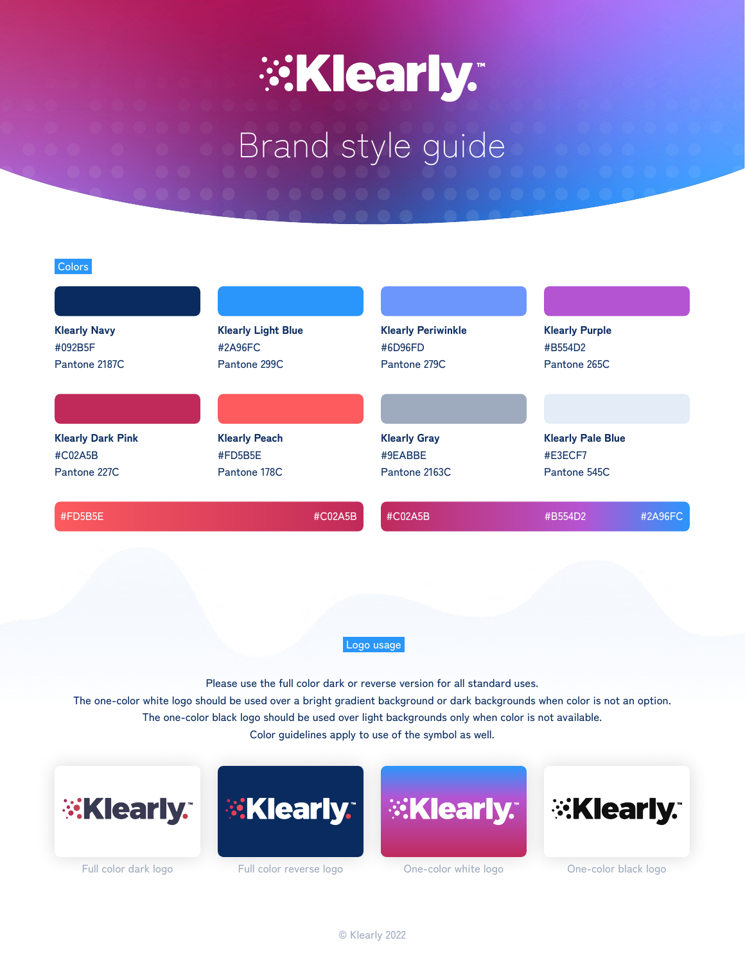# **EXIearly.**

# Brand style guide

#### Colors

| <b>Klearly Navy</b><br>#092B5F<br>Pantone 2187C | <b>Klearly Light Blue</b><br>#2A96FC<br>Pantone 299C | <b>Klearly Periwinkle</b><br>#6D96FD<br>Pantone 279C | <b>Klearly Purple</b><br>#B554D2<br>Pantone 265C |         |
|-------------------------------------------------|------------------------------------------------------|------------------------------------------------------|--------------------------------------------------|---------|
|                                                 |                                                      |                                                      |                                                  |         |
| <b>Klearly Dark Pink</b>                        | <b>Klearly Peach</b>                                 | <b>Klearly Gray</b>                                  | <b>Klearly Pale Blue</b>                         |         |
| #C02A5B                                         | #FD5B5E                                              | #9EABBE                                              | #E3ECF7                                          |         |
| Pantone 227C                                    | Pantone 178C                                         | Pantone 2163C                                        | Pantone 545C                                     |         |
| #FD5B5E                                         |                                                      | #CO2A5B<br>#C02A5B                                   | #B554D2                                          | #2A96FC |

Logo usage

Please use the full color dark or reverse version for all standard uses.

The one-color white logo should be used over a bright gradient background or dark backgrounds when color is not an option. The one-color black logo should be used over light backgrounds only when color is not available. Color guidelines apply to use of the symbol as well.

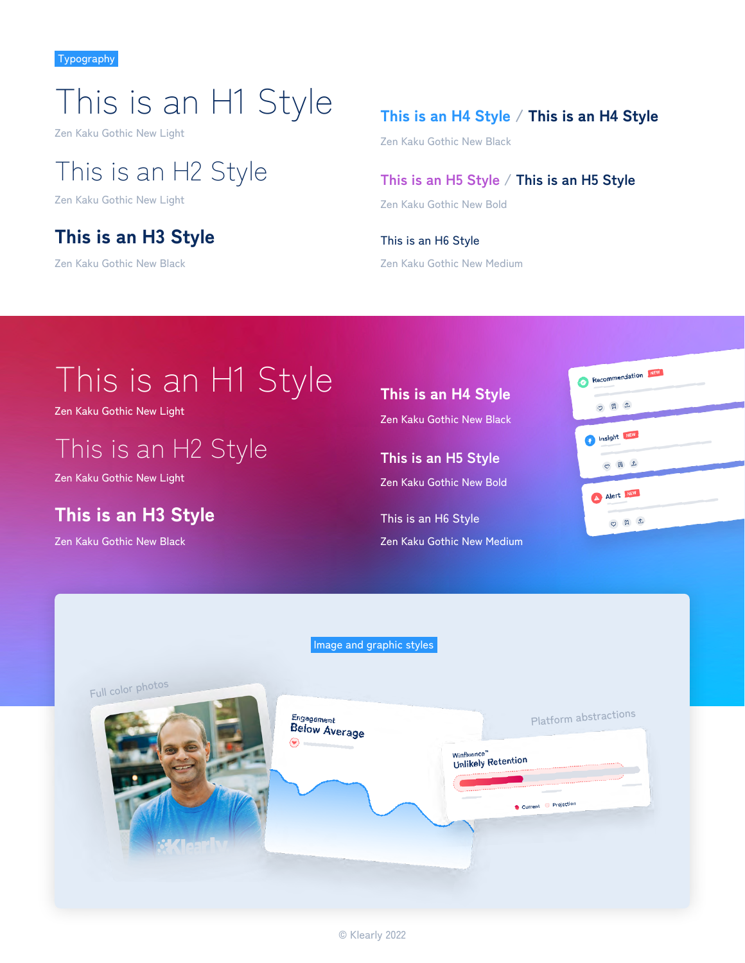# This is an H1 Style

Zen Kaku Gothic New Light

## This is an H2 Style

Zen Kaku Gothic New Light

## This is an H3 Style

Zen Kaku Gothic New Black

### This is an H4 Style / This is an H4 Style

Zen Kaku Gothic New Black

### **This is an H5 Style / This is an H5 Style**

Zen Kaku Gothic New Bold

This is an H6 Style Zen Kaku Gothic New Medium

# This is an H1 Style

Zen Kaku Gothic New Light

## This is an H2 Style

Zen Kaku Gothic New Light

## This is an H3 Style

Zen Kaku Gothic New Black

### This is an H4 Style Zen Kaku Gothic New Black

**This is an H5 Style** Zen Kaku Gothic New Bold

This is an H6 Style Zen Kaku Gothic New Medium

| Recommendation NEW<br>۰<br>$\sim$                                                                                                                                                                                                                                                                                                                                                                                                                                                         |  |
|-------------------------------------------------------------------------------------------------------------------------------------------------------------------------------------------------------------------------------------------------------------------------------------------------------------------------------------------------------------------------------------------------------------------------------------------------------------------------------------------|--|
| ○ 日 1                                                                                                                                                                                                                                                                                                                                                                                                                                                                                     |  |
| Insight NEW<br>O)                                                                                                                                                                                                                                                                                                                                                                                                                                                                         |  |
| OBI                                                                                                                                                                                                                                                                                                                                                                                                                                                                                       |  |
| A Alert NEW<br>$\frac{1}{2} \left( \frac{1}{2} \right) \left( \frac{1}{2} \right) \left( \frac{1}{2} \right) \left( \frac{1}{2} \right) \left( \frac{1}{2} \right) \left( \frac{1}{2} \right) \left( \frac{1}{2} \right) \left( \frac{1}{2} \right) \left( \frac{1}{2} \right) \left( \frac{1}{2} \right) \left( \frac{1}{2} \right) \left( \frac{1}{2} \right) \left( \frac{1}{2} \right) \left( \frac{1}{2} \right) \left( \frac{1}{2} \right) \left( \frac{1}{2} \right) \left( \frac$ |  |
| O E 1                                                                                                                                                                                                                                                                                                                                                                                                                                                                                     |  |